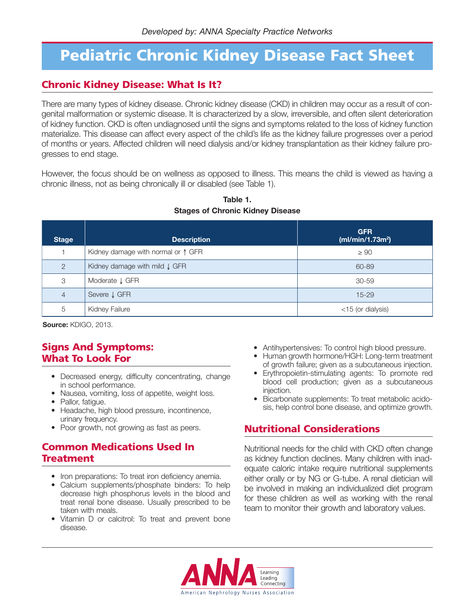## **Pediatric Chronic Kidney Disease Fact Sheet**

## **Chronic Kidney Disease: What Is It?**

There are many types of kidney disease. Chronic kidney disease (CKD) in children may occur as a result of congenital malformation or systemic disease. It is characterized by a slow, irreversible, and often silent deterioration of kidney function. CKD is often undiagnosed until the signs and symptoms related to the loss of kidney function materialize. This disease can affect every aspect of the child's life as the kidney failure progresses over a period of months or years. Affected children will need dialysis and/or kidney transplantation as their kidney failure progresses to end stage.

However, the focus should be on wellness as opposed to illness. This means the child is viewed as having a chronic illness, not as being chronically ill or disabled (see Table 1).

| <b>Stage</b>   | <b>Description</b>                       | <b>GFR</b><br>(mI/min/1.73m <sup>2</sup> ) |
|----------------|------------------------------------------|--------------------------------------------|
|                | Kidney damage with normal or 1 GFR       | $\geq 90$                                  |
| $\mathcal{P}$  | Kidney damage with mild $\downarrow$ GFR | 60-89                                      |
| 3              | Moderate ↓ GFR                           | $30 - 59$                                  |
| $\overline{4}$ | Severe J GFR                             | $15 - 29$                                  |
| 5              | Kidney Failure                           | $<$ 15 (or dialysis)                       |

#### **Table 1. Stages of Chronic Kidney Disease**

**Source:** KDIGO, 2013.

### **Signs And Symptoms: What To Look For**

- Decreased energy, difficulty concentrating, change in school performance.
- Nausea, vomiting, loss of appetite, weight loss.
- Pallor, fatigue.
- Headache, high blood pressure, incontinence, urinary frequency.
- Poor growth, not growing as fast as peers.

### **Common Medications Used In Treatment**

- Iron preparations: To treat iron deficiency anemia.
- Calcium supplements/phosphate binders: To help decrease high phosphorus levels in the blood and treat renal bone disease. Usually prescribed to be taken with meals.
- Vitamin D or calcitrol: To treat and prevent bone disease.
- Antihypertensives: To control high blood pressure.
- Human growth hormone/HGH: Long-term treatment of growth failure; given as a subcutaneous injection.
- Erythropoietin-stimulating agents: To promote red blood cell production; given as a subcutaneous injection.
- Bicarbonate supplements: To treat metabolic acidosis, help control bone disease, and optimize growth.

## **Nutritional Considerations**

Nutritional needs for the child with CKD often change as kidney function declines. Many children with inadequate caloric intake require nutritional supplements either orally or by NG or G-tube. A renal dietician will be involved in making an individualized diet program for these children as well as working with the renal team to monitor their growth and laboratory values.